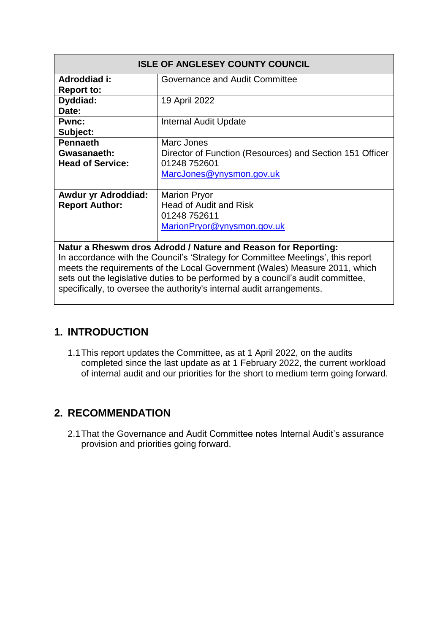| <b>ISLE OF ANGLESEY COUNTY COUNCIL</b>                                          |                                                          |  |  |  |
|---------------------------------------------------------------------------------|----------------------------------------------------------|--|--|--|
| Adroddiad i:                                                                    | Governance and Audit Committee                           |  |  |  |
| <b>Report to:</b>                                                               |                                                          |  |  |  |
| Dyddiad:                                                                        | 19 April 2022                                            |  |  |  |
| Date:                                                                           |                                                          |  |  |  |
| <b>Pwnc:</b>                                                                    | Internal Audit Update                                    |  |  |  |
| Subject:                                                                        |                                                          |  |  |  |
| <b>Pennaeth</b>                                                                 | Marc Jones                                               |  |  |  |
| Gwasanaeth:                                                                     | Director of Function (Resources) and Section 151 Officer |  |  |  |
| <b>Head of Service:</b>                                                         | 01248 752601                                             |  |  |  |
|                                                                                 | MarcJones@ynysmon.gov.uk                                 |  |  |  |
|                                                                                 |                                                          |  |  |  |
| <b>Awdur yr Adroddiad:</b>                                                      | <b>Marion Pryor</b>                                      |  |  |  |
| <b>Report Author:</b>                                                           | <b>Head of Audit and Risk</b>                            |  |  |  |
|                                                                                 | 01248 752611                                             |  |  |  |
|                                                                                 | MarionPryor@ynysmon.gov.uk                               |  |  |  |
|                                                                                 |                                                          |  |  |  |
| Natur a Rheswm dros Adrodd / Nature and Reason for Reporting:                   |                                                          |  |  |  |
|                                                                                 |                                                          |  |  |  |
| In accordance with the Council's 'Strategy for Committee Meetings', this report |                                                          |  |  |  |
| meets the requirements of the Local Government (Wales) Measure 2011, which      |                                                          |  |  |  |
| sets out the legislative duties to be performed by a council's audit committee, |                                                          |  |  |  |
| specifically, to oversee the authority's internal audit arrangements.           |                                                          |  |  |  |

#### **1. INTRODUCTION**

1.1This report updates the Committee, as at 1 April 2022, on the audits completed since the last update as at 1 February 2022, the current workload of internal audit and our priorities for the short to medium term going forward.

#### **2. RECOMMENDATION**

2.1That the Governance and Audit Committee notes Internal Audit's assurance provision and priorities going forward.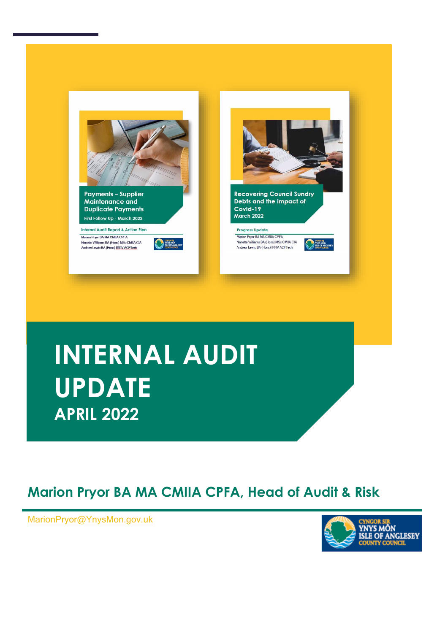

# **INTERNAL AUDIT UPDATE APRIL 2022**

### **Marion Pryor BA MA CMIIA CPFA, Head of Audit & Risk**

**, Head of Audit & Risk** [MarionPryor@YnysMon.gov.uk](mailto:MarionPryor@YnysMon.gov.uk)

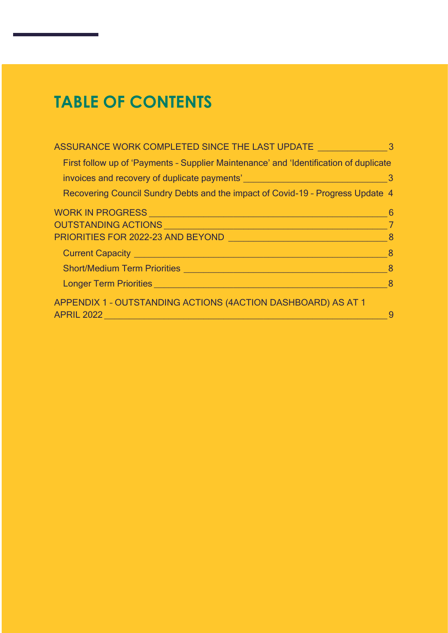### **TABLE OF CONTENTS**

| ASSURANCE WORK COMPLETED SINCE THE LAST UPDATE                                                                                                                                                                                     | 3                          |
|------------------------------------------------------------------------------------------------------------------------------------------------------------------------------------------------------------------------------------|----------------------------|
| First follow up of 'Payments - Supplier Maintenance' and 'Identification of duplicate                                                                                                                                              |                            |
|                                                                                                                                                                                                                                    | $\overline{\phantom{a}}$ 3 |
| Recovering Council Sundry Debts and the impact of Covid-19 - Progress Update 4                                                                                                                                                     |                            |
| WORK IN PROGRESS <b>And the Contract of the Contract of the Contract of Texas and Texas and Texas and Texas and Texas</b>                                                                                                          | - 6                        |
| $\sim$ 7<br>OUTSTANDING ACTIONS NAMES AND RESERVE TO A RESERVE THE RESERVE TO A REPORT OF THE RESERVE TO A REPORT OF THE R                                                                                                         |                            |
| PRIORITIES FOR 2022-23 AND BEYOND NATIONAL RESEARCH AND RESEARCH THE RESEARCH OF THE RESEARCH OF THE RESEARCH                                                                                                                      | - 8                        |
| Current Capacity <b>Current Capacity</b>                                                                                                                                                                                           | 8                          |
| <b>Short/Medium Term Priorities Analysis and Contract Contract of Contract Contract Contract Contract Contract Contract Contract Contract Contract Contract Contract Contract Contract Contract Contract Contract Contract Con</b> | -8                         |
| Longer Term Priorities <b>Example 2018 Contract Contract Contract Contract Contract Contract Contract Contract Contract Contract Contract Contract Contract Contract Contract Contract Contract Contract Contract Contract Con</b> | - 8                        |
| APPENDIX 1 - OUTSTANDING ACTIONS (4ACTION DASHBOARD) AS AT 1                                                                                                                                                                       |                            |
| <b>APRIL 2022</b>                                                                                                                                                                                                                  | 9                          |
|                                                                                                                                                                                                                                    |                            |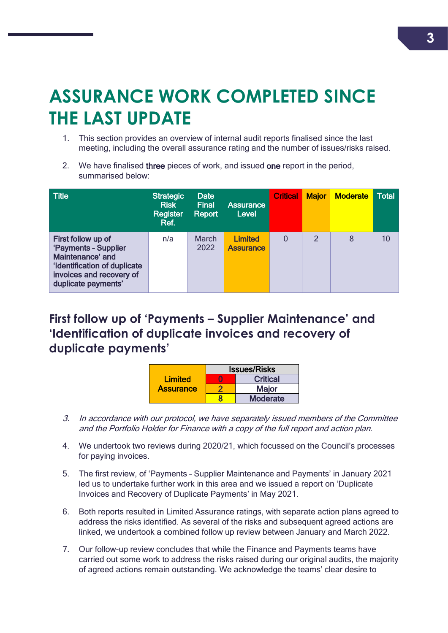## <span id="page-3-0"></span>**ASSURANCE WORK COMPLETED SINCE THE LAST UPDATE**

- 1. This section provides an overview of internal audit reports finalised since the last meeting, including the overall assurance rating and the number of issues/risks raised.
- 2. We have finalised three pieces of work, and issued one report in the period, summarised below:

| <b>Title</b>                                                                                                                                      | <b>Strategic</b><br><b>Risk</b><br>Register<br>Ref. | <b>Date</b><br><b>Final</b><br>Report | <b>Assurance</b><br><b>Level</b>   | <b>Critical</b> | <b>Major</b>  | <b>Moderate</b> | <b>Total</b> |
|---------------------------------------------------------------------------------------------------------------------------------------------------|-----------------------------------------------------|---------------------------------------|------------------------------------|-----------------|---------------|-----------------|--------------|
| First follow up of<br>'Payments - Supplier<br>Maintenance' and<br>'Identification of duplicate<br>invoices and recovery of<br>duplicate payments' | n/a                                                 | <b>March</b><br>2022                  | <b>Limited</b><br><b>Assurance</b> | 0               | $\mathcal{P}$ | 8               | 10           |

### <span id="page-3-1"></span>**First follow up of 'Payments – Supplier Maintenance' and 'Identification of duplicate invoices and recovery of duplicate payments'**

|                  | <b>Issues/Risks</b> |                 |  |
|------------------|---------------------|-----------------|--|
| <b>Limited</b>   |                     | <b>Critical</b> |  |
| <b>Assurance</b> |                     | <b>Major</b>    |  |
|                  |                     | <b>Moderate</b> |  |

- 3. In accordance with our protocol, we have separately issued members of the Committee and the Portfolio Holder for Finance with a copy of the full report and action plan.
- 4. We undertook two reviews during 2020/21, which focussed on the Council's processes for paying invoices.
- 5. The first review, of 'Payments Supplier Maintenance and Payments' in January 2021 led us to undertake further work in this area and we issued a report on 'Duplicate Invoices and Recovery of Duplicate Payments' in May 2021.
- 6. Both reports resulted in Limited Assurance ratings, with separate action plans agreed to address the risks identified. As several of the risks and subsequent agreed actions are linked, we undertook a combined follow up review between January and March 2022.
- 7. Our follow-up review concludes that while the Finance and Payments teams have carried out some work to address the risks raised during our original audits, the majority of agreed actions remain outstanding. We acknowledge the teams' clear desire to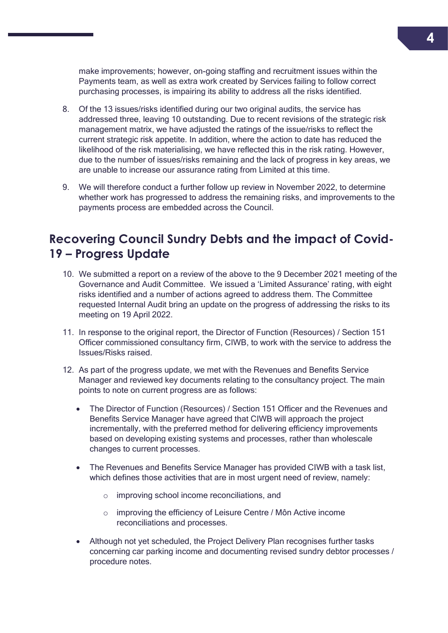make improvements; however, on-going staffing and recruitment issues within the Payments team, as well as extra work created by Services failing to follow correct purchasing processes, is impairing its ability to address all the risks identified.

- 8. Of the 13 issues/risks identified during our two original audits, the service has addressed three, leaving 10 outstanding. Due to recent revisions of the strategic risk management matrix, we have adjusted the ratings of the issue/risks to reflect the current strategic risk appetite. In addition, where the action to date has reduced the likelihood of the risk materialising, we have reflected this in the risk rating. However, due to the number of issues/risks remaining and the lack of progress in key areas, we are unable to increase our assurance rating from Limited at this time.
- 9. We will therefore conduct a further follow up review in November 2022, to determine whether work has progressed to address the remaining risks, and improvements to the payments process are embedded across the Council.

#### <span id="page-4-0"></span>**Recovering Council Sundry Debts and the impact of Covid-19 – Progress Update**

- 10. We submitted a report on a review of the above to the 9 December 2021 meeting of the Governance and Audit Committee. We issued a 'Limited Assurance' rating, with eight risks identified and a number of actions agreed to address them. The Committee requested Internal Audit bring an update on the progress of addressing the risks to its meeting on 19 April 2022.
- 11. In response to the original report, the Director of Function (Resources) / Section 151 Officer commissioned consultancy firm, CIWB, to work with the service to address the Issues/Risks raised.
- 12. As part of the progress update, we met with the Revenues and Benefits Service Manager and reviewed key documents relating to the consultancy project. The main points to note on current progress are as follows:
	- The Director of Function (Resources) / Section 151 Officer and the Revenues and Benefits Service Manager have agreed that CIWB will approach the project incrementally, with the preferred method for delivering efficiency improvements based on developing existing systems and processes, rather than wholescale changes to current processes.
	- The Revenues and Benefits Service Manager has provided CIWB with a task list, which defines those activities that are in most urgent need of review, namely:
		- o improving school income reconciliations, and
		- o improving the efficiency of Leisure Centre / Môn Active income reconciliations and processes.
	- Although not yet scheduled, the Project Delivery Plan recognises further tasks concerning car parking income and documenting revised sundry debtor processes / procedure notes.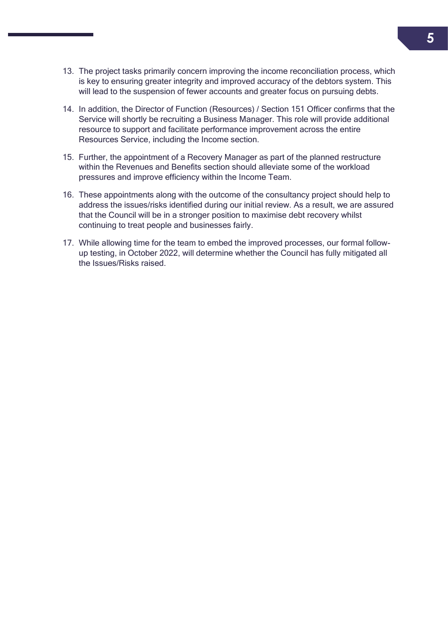- 13. The project tasks primarily concern improving the income reconciliation process, which is key to ensuring greater integrity and improved accuracy of the debtors system. This will lead to the suspension of fewer accounts and greater focus on pursuing debts.
- 14. In addition, the Director of Function (Resources) / Section 151 Officer confirms that the Service will shortly be recruiting a Business Manager. This role will provide additional resource to support and facilitate performance improvement across the entire Resources Service, including the Income section.
- 15. Further, the appointment of a Recovery Manager as part of the planned restructure within the Revenues and Benefits section should alleviate some of the workload pressures and improve efficiency within the Income Team.
- 16. These appointments along with the outcome of the consultancy project should help to address the issues/risks identified during our initial review. As a result, we are assured that the Council will be in a stronger position to maximise debt recovery whilst continuing to treat people and businesses fairly.
- 17. While allowing time for the team to embed the improved processes, our formal followup testing, in October 2022, will determine whether the Council has fully mitigated all the Issues/Risks raised.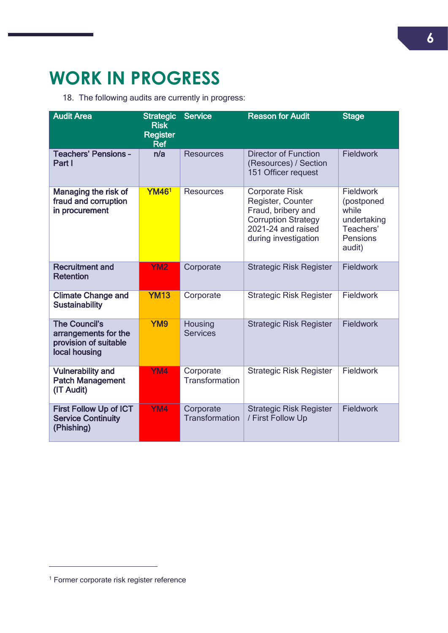### <span id="page-6-0"></span>**WORK IN PROGRESS**

18. The following audits are currently in progress:

| <b>Audit Area</b>                                                                      | <b>Strategic</b><br><b>Risk</b><br><b>Register</b><br><b>Ref</b> | Service                            | <b>Reason for Audit</b>                                                                                                                      | <b>Stage</b>                                                                       |
|----------------------------------------------------------------------------------------|------------------------------------------------------------------|------------------------------------|----------------------------------------------------------------------------------------------------------------------------------------------|------------------------------------------------------------------------------------|
| <b>Teachers' Pensions -</b><br>Part I                                                  | n/a                                                              | <b>Resources</b>                   | <b>Director of Function</b><br>(Resources) / Section<br>151 Officer request                                                                  | <b>Fieldwork</b>                                                                   |
| Managing the risk of<br>fraud and corruption<br>in procurement                         | <b>YM461</b>                                                     | <b>Resources</b>                   | <b>Corporate Risk</b><br>Register, Counter<br>Fraud, bribery and<br><b>Corruption Strategy</b><br>2021-24 and raised<br>during investigation | Fieldwork<br>(postponed<br>while<br>undertaking<br>Teachers'<br>Pensions<br>audit) |
| <b>Recruitment and</b><br><b>Retention</b>                                             | <b>YM2</b>                                                       | Corporate                          | <b>Strategic Risk Register</b>                                                                                                               | <b>Fieldwork</b>                                                                   |
| <b>Climate Change and</b><br><b>Sustainability</b>                                     | <b>YM13</b>                                                      | Corporate                          | <b>Strategic Risk Register</b>                                                                                                               | <b>Fieldwork</b>                                                                   |
| <b>The Council's</b><br>arrangements for the<br>provision of suitable<br>local housing | YM9                                                              | Housing<br><b>Services</b>         | <b>Strategic Risk Register</b>                                                                                                               | Fieldwork                                                                          |
| <b>Vulnerability and</b><br><b>Patch Management</b><br>(IT Audit)                      | YM4                                                              | Corporate<br><b>Transformation</b> | <b>Strategic Risk Register</b>                                                                                                               | Fieldwork                                                                          |
| <b>First Follow Up of ICT</b><br><b>Service Continuity</b><br>(Phishing)               | YM4                                                              | Corporate<br><b>Transformation</b> | <b>Strategic Risk Register</b><br>/ First Follow Up                                                                                          | <b>Fieldwork</b>                                                                   |

 $\overline{a}$ 

**<sup>6</sup>**

<sup>1</sup> Former corporate risk register reference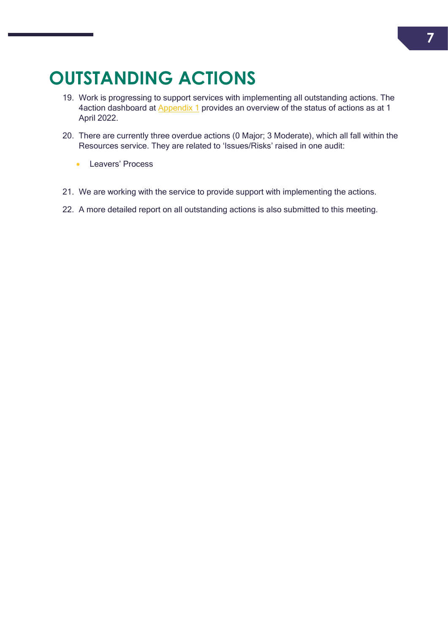### <span id="page-7-0"></span>**OUTSTANDING ACTIONS**

- 19. Work is progressing to support services with implementing all outstanding actions. The 4action dashboard at **[Appendix 1](#page-9-0)** provides an overview of the status of actions as at 1 April 2022.
- 20. There are currently three overdue actions (0 Major; 3 Moderate), which all fall within the Resources service. They are related to 'Issues/Risks' raised in one audit:
	- **Leavers' Process**
- 21. We are working with the service to provide support with implementing the actions.
- 22. A more detailed report on all outstanding actions is also submitted to this meeting.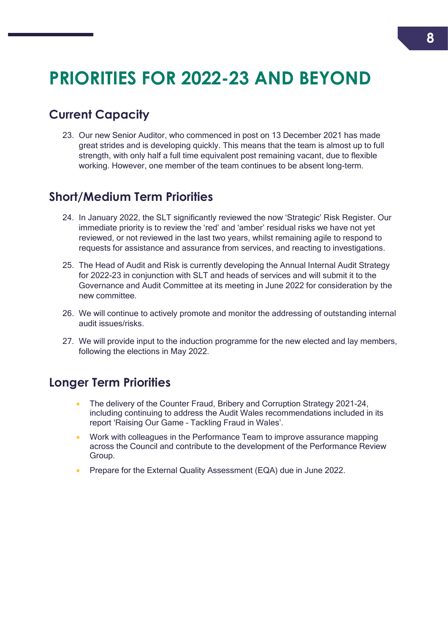### <span id="page-8-0"></span>**PRIORITIES FOR 2022-23 AND BEYOND**

### <span id="page-8-1"></span>**Current Capacity**

23. Our new Senior Auditor, who commenced in post on 13 December 2021 has made great strides and is developing quickly. This means that the team is almost up to full strength, with only half a full time equivalent post remaining vacant, due to flexible working. However, one member of the team continues to be absent long-term.

#### <span id="page-8-2"></span>**Short/Medium Term Priorities**

- 24. In January 2022, the SLT significantly reviewed the now 'Strategic' Risk Register. Our immediate priority is to review the 'red' and 'amber' residual risks we have not yet reviewed, or not reviewed in the last two years, whilst remaining agile to respond to requests for assistance and assurance from services, and reacting to investigations.
- 25. The Head of Audit and Risk is currently developing the Annual Internal Audit Strategy for 2022-23 in conjunction with SLT and heads of services and will submit it to the Governance and Audit Committee at its meeting in June 2022 for consideration by the new committee.
- 26. We will continue to actively promote and monitor the addressing of outstanding internal audit issues/risks.
- 27. We will provide input to the induction programme for the new elected and lay members, following the elections in May 2022.

#### <span id="page-8-3"></span>**Longer Term Priorities**

- The delivery of the Counter Fraud, Bribery and Corruption Strategy 2021-24, including continuing to address the Audit Wales recommendations included in its report 'Raising Our Game – Tackling Fraud in Wales'.
- Work with colleagues in the Performance Team to improve assurance mapping across the Council and contribute to the development of the Performance Review Group.
- Prepare for the External Quality Assessment (EQA) due in June 2022.